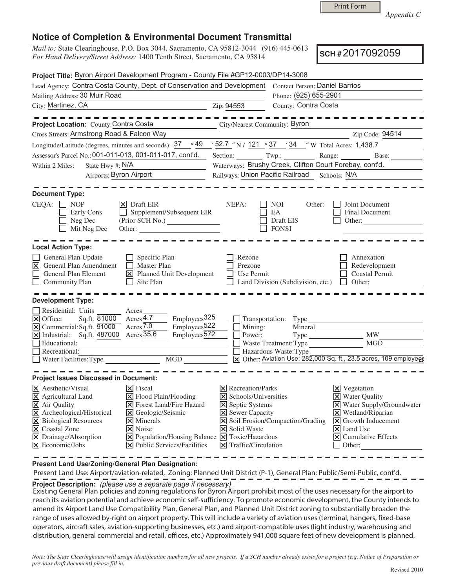*Appendix C* 

#### **Notice of Completion & Environmental Document Transmittal**

*Mail to:* State Clearinghouse, P.O. Box 3044, Sacramento, CA 95812-3044 (916) 445-0613 *For Hand Delivery/Street Address:* 1400 Tenth Street, Sacramento, CA 95814

**SCH #** 2017092059

| Project Title: Byron Airport Development Program - County File #GP12-0003/DP14-3008                                                                                                                                                                                     |                                                                                                                                                                                                                                                                                                   |                                                                                                                                                                           |                                                                                   |                                                                                                                                                                                                                           |  |
|-------------------------------------------------------------------------------------------------------------------------------------------------------------------------------------------------------------------------------------------------------------------------|---------------------------------------------------------------------------------------------------------------------------------------------------------------------------------------------------------------------------------------------------------------------------------------------------|---------------------------------------------------------------------------------------------------------------------------------------------------------------------------|-----------------------------------------------------------------------------------|---------------------------------------------------------------------------------------------------------------------------------------------------------------------------------------------------------------------------|--|
| Lead Agency: Contra Costa County, Dept. of Conservation and Development                                                                                                                                                                                                 |                                                                                                                                                                                                                                                                                                   |                                                                                                                                                                           | <b>Contact Person: Daniel Barrios</b>                                             |                                                                                                                                                                                                                           |  |
| Mailing Address: 30 Muir Road                                                                                                                                                                                                                                           |                                                                                                                                                                                                                                                                                                   | Phone: (925) 655-2901                                                                                                                                                     |                                                                                   |                                                                                                                                                                                                                           |  |
| City: Martinez, CA                                                                                                                                                                                                                                                      | Zip: 94553                                                                                                                                                                                                                                                                                        | County: Contra Costa                                                                                                                                                      |                                                                                   |                                                                                                                                                                                                                           |  |
| Project Location: County: Contra Costa                                                                                                                                                                                                                                  |                                                                                                                                                                                                                                                                                                   | <b>City/Nearest Community: Byron</b>                                                                                                                                      |                                                                                   |                                                                                                                                                                                                                           |  |
| Cross Streets: Armstrong Road & Falcon Way                                                                                                                                                                                                                              |                                                                                                                                                                                                                                                                                                   |                                                                                                                                                                           |                                                                                   | Zip Code: 94514                                                                                                                                                                                                           |  |
| Longitude/Latitude (degrees, minutes and seconds): 37                                                                                                                                                                                                                   |                                                                                                                                                                                                                                                                                                   | $\frac{1}{2}$ (49 $\frac{1}{2}$ / 52.7 $\frac{1}{2}$ N / 121 $\frac{1}{2}$ 37 $\frac{1}{2}$ 34 $\frac{1}{2}$ W Total Acres: 1,438.7                                       |                                                                                   |                                                                                                                                                                                                                           |  |
| Assessor's Parcel No.: 001-011-013, 001-011-017, cont'd.                                                                                                                                                                                                                |                                                                                                                                                                                                                                                                                                   |                                                                                                                                                                           |                                                                                   |                                                                                                                                                                                                                           |  |
| State Hwy #: N/A<br>Within 2 Miles:                                                                                                                                                                                                                                     |                                                                                                                                                                                                                                                                                                   | Waterways: Brushy Creek, Clifton Court Forebay, cont'd.                                                                                                                   |                                                                                   |                                                                                                                                                                                                                           |  |
| <b>Airports: Byron Airport</b>                                                                                                                                                                                                                                          |                                                                                                                                                                                                                                                                                                   | Railways: Union Pacific Railroad Schools: N/A                                                                                                                             |                                                                                   |                                                                                                                                                                                                                           |  |
| <b>Document Type:</b><br>CEQA:<br><b>NOP</b><br>Early Cons<br>Neg Dec<br>$\Box$ Mit Neg Dec                                                                                                                                                                             | $ \mathsf{X} $ Draft EIR<br>Supplement/Subsequent EIR<br>Other:                                                                                                                                                                                                                                   | NEPA:                                                                                                                                                                     | NOI<br>Other:<br>EA<br>Draft EIS<br><b>FONSI</b>                                  | Joint Document<br>Final Document<br>Other:                                                                                                                                                                                |  |
| <b>Local Action Type:</b>                                                                                                                                                                                                                                               |                                                                                                                                                                                                                                                                                                   |                                                                                                                                                                           |                                                                                   |                                                                                                                                                                                                                           |  |
| General Plan Update<br>General Plan Amendment<br>$\mathbf{\overline{X}}$<br>General Plan Element<br>$\Box$<br><b>Community Plan</b>                                                                                                                                     | Specific Plan<br>$\Box$<br><b>Master Plan</b><br>$\perp$<br>X Planned Unit Development<br>П<br>Site Plan                                                                                                                                                                                          | Rezone<br>Prezone<br>Use Permit                                                                                                                                           | Land Division (Subdivision, etc.) $\Box$ Other:                                   | Annexation<br>Redevelopment<br>Coastal Permit                                                                                                                                                                             |  |
| <b>Development Type:</b><br>Residential: Units<br>$\triangleright$ Office:<br>Sq.ft. 81000<br>$\overline{\mathbf{X}}$ Commercial: Sq.ft. 91000<br>$\overline{X}$ Industrial: Sq.ft. $\overline{487000}$ Acres $\overline{35.6}$<br>Educational:<br>$\Box$ Recreational: | $\overline{\phantom{a}}$ Acres<br>Acres $4.7$<br>Employees <sub>325</sub><br>Employees <sup>522</sup><br>Acres $\overline{7.0}$<br>$Employes\overline{572}$                                                                                                                                       | Mining:<br>Power:                                                                                                                                                         | Transportation: Type<br>Mineral<br>Waste Treatment: Type<br>Hazardous Waste: Type | <b>MW</b><br>MGD                                                                                                                                                                                                          |  |
| MGD<br>Water Facilities: Type                                                                                                                                                                                                                                           |                                                                                                                                                                                                                                                                                                   | X Other: Aviation Use: 282,000 Sq. ft., 23.5 acres, 109 employees                                                                                                         |                                                                                   |                                                                                                                                                                                                                           |  |
| <b>Project Issues Discussed in Document:</b>                                                                                                                                                                                                                            |                                                                                                                                                                                                                                                                                                   |                                                                                                                                                                           |                                                                                   |                                                                                                                                                                                                                           |  |
| $\times$ Aesthetic/Visual<br>$\times$ Agricultural Land<br>X Air Quality<br>X Archeological/Historical<br>X Biological Resources<br>X Coastal Zone<br>X Drainage/Absorption<br>$ \mathsf{X} $ Economic/Jobs                                                             | $ \mathsf{X} $ Fiscal<br>X Flood Plain/Flooding<br>X Forest Land/Fire Hazard<br>X Geologic/Seismic<br>$\times$ Minerals<br>$\vert\mathsf{x}\vert$ Noise<br>$\boxed{\mathsf{X}}$ Population/Housing Balance $\boxed{\mathsf{X}}$ Toxic/Hazardous<br>$ \mathbf{\nabla} $ Public Services/Facilities | $\times$ Recreation/Parks<br>X Schools/Universities<br><b>X</b> Septic Systems<br><b>X</b> Sewer Capacity<br><b>X</b> Solid Waste<br>$\vert$ <b>X</b> Traffic/Circulation | X Soil Erosion/Compaction/Grading                                                 | $\boxtimes$ Vegetation<br><b>X</b> Water Quality<br>X Water Supply/Groundwater<br>$\times$ Wetland/Riparian<br>$ \mathsf{X} $ Growth Inducement<br>$ \mathsf{X} $ Land Use<br>$ \mathbf{X} $ Cumulative Effects<br>Other: |  |

**Present Land Use/Zoning/General Plan Designation:**

 Present Land Use: Airport/aviation-related, Zoning: Planned Unit District (P-1), General Plan: Public/Semi-Public, cont'd. **Project Description:** (please use a separate page if necessary)

 Existing General Plan policies and zoning regulations for Byron Airport prohibit most of the uses necessary for the airport to reach its aviation potential and achieve economic self-sufficiency. To promote economic development, the County intends to amend its Airport Land Use Compatibility Plan, General Plan, and Planned Unit District zoning to substantially broaden the range of uses allowed by-right on airport property. This will include a variety of aviation uses (terminal, hangers, fixed-base operators, aircraft sales, aviation-supporting businesses, etc.) and airport-compatible uses (light industry, warehousing and distribution, general commercial and retail, offices, etc.) Approximately 941,000 square feet of new development is planned.

*Note: The State Clearinghouse will assign identification numbers for all new projects. If a SCH number already exists for a project (e.g. Notice of Preparation or previous draft document) please fill in.*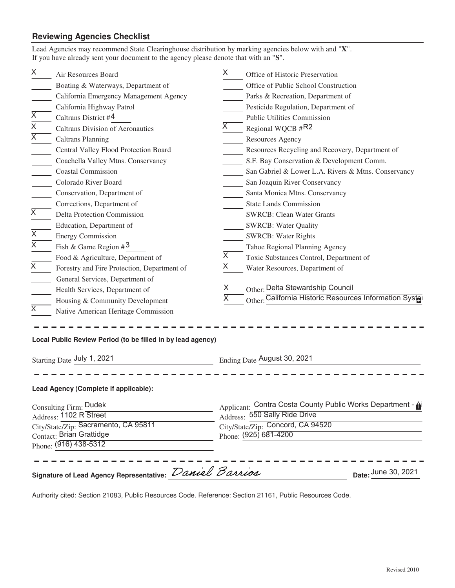### **Reviewing Agencies Checklist**

|                                                                                                                                                                                        | Lead Agencies may recommend State Clearinghouse distribution by marking agencies below with and "X".<br>If you have already sent your document to the agency please denote that with an "S".                                                                                                                                                                                                                                                                                                                                                                                                                                                                                                                                                                                           |                                               |                                                                                                                                                                                                                                                                                                                                                                                                                                                                                                                                                                                                                                                                                                                                                                                                              |  |
|----------------------------------------------------------------------------------------------------------------------------------------------------------------------------------------|----------------------------------------------------------------------------------------------------------------------------------------------------------------------------------------------------------------------------------------------------------------------------------------------------------------------------------------------------------------------------------------------------------------------------------------------------------------------------------------------------------------------------------------------------------------------------------------------------------------------------------------------------------------------------------------------------------------------------------------------------------------------------------------|-----------------------------------------------|--------------------------------------------------------------------------------------------------------------------------------------------------------------------------------------------------------------------------------------------------------------------------------------------------------------------------------------------------------------------------------------------------------------------------------------------------------------------------------------------------------------------------------------------------------------------------------------------------------------------------------------------------------------------------------------------------------------------------------------------------------------------------------------------------------------|--|
| X<br>$\overline{\mathsf{x}}$<br>$\overline{\mathsf{x}}$<br>$\overline{\mathsf{X}}$<br>X<br>X<br>$\overline{\mathsf{x}}$<br>X                                                           | Air Resources Board<br>Boating & Waterways, Department of<br>California Emergency Management Agency<br>California Highway Patrol<br>Caltrans District #4<br><b>Caltrans Division of Aeronautics</b><br><b>Caltrans Planning</b><br>Central Valley Flood Protection Board<br>Coachella Valley Mtns. Conservancy<br><b>Coastal Commission</b><br>Colorado River Board<br>Conservation, Department of<br>Corrections, Department of<br>Delta Protection Commission<br>Education, Department of<br><b>Energy Commission</b><br>Fish & Game Region $#^3$<br>Food & Agriculture, Department of<br>Forestry and Fire Protection, Department of<br>General Services, Department of<br>Health Services, Department of<br>Housing & Community Development<br>Native American Heritage Commission | X.<br>X<br>X<br>X<br>X.<br>$\overline{\sf X}$ | Office of Historic Preservation<br>Office of Public School Construction<br>Parks & Recreation, Department of<br>Pesticide Regulation, Department of<br><b>Public Utilities Commission</b><br>Regional WQCB #R2<br>Resources Agency<br>Resources Recycling and Recovery, Department of<br>S.F. Bay Conservation & Development Comm.<br>San Gabriel & Lower L.A. Rivers & Mtns. Conservancy<br>San Joaquin River Conservancy<br>Santa Monica Mtns. Conservancy<br><b>State Lands Commission</b><br><b>SWRCB: Clean Water Grants</b><br><b>SWRCB: Water Quality</b><br><b>SWRCB: Water Rights</b><br>Tahoe Regional Planning Agency<br>Toxic Substances Control, Department of<br>Water Resources, Department of<br>Other: Delta Stewardship Council<br>Other: California Historic Resources Information Syster |  |
| Local Public Review Period (to be filled in by lead agency)<br>Starting Date July 1, 2021                                                                                              |                                                                                                                                                                                                                                                                                                                                                                                                                                                                                                                                                                                                                                                                                                                                                                                        |                                               | Ending Date August 30, 2021                                                                                                                                                                                                                                                                                                                                                                                                                                                                                                                                                                                                                                                                                                                                                                                  |  |
| Lead Agency (Complete if applicable):<br>Consulting Firm: Dudek<br>Address: 1102 R Street<br>City/State/Zip: Sacramento, CA 95811<br>Contact: Brian Grattidge<br>Phone: (916) 438-5312 |                                                                                                                                                                                                                                                                                                                                                                                                                                                                                                                                                                                                                                                                                                                                                                                        |                                               | Applicant: Contra Costa County Public Works Department - A<br>Address: 550 Sally Ride Drive<br>City/State/Zip: Concord, CA 94520<br>Phone: (925) 681-4200                                                                                                                                                                                                                                                                                                                                                                                                                                                                                                                                                                                                                                                    |  |
| Signature of Lead Agency Representative: Daniel Barrios<br>Date: June 30, 2021                                                                                                         |                                                                                                                                                                                                                                                                                                                                                                                                                                                                                                                                                                                                                                                                                                                                                                                        |                                               |                                                                                                                                                                                                                                                                                                                                                                                                                                                                                                                                                                                                                                                                                                                                                                                                              |  |

Authority cited: Section 21083, Public Resources Code. Reference: Section 21161, Public Resources Code.